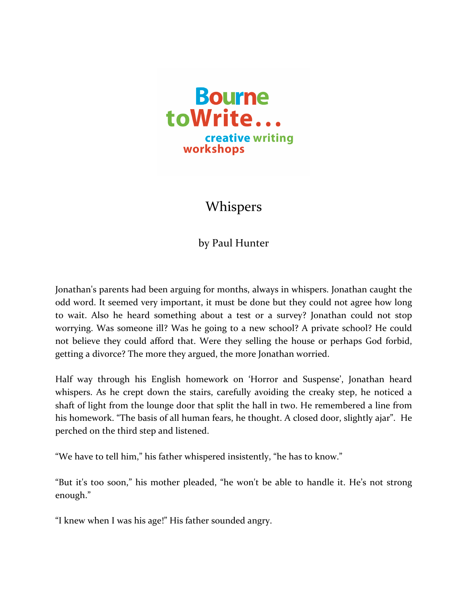

## Whispers

by Paul Hunter

Jonathan's parents had been arguing for months, always in whispers. Jonathan caught the odd word. It seemed very important, it must be done but they could not agree how long to wait. Also he heard something about a test or a survey? Jonathan could not stop worrying. Was someone ill? Was he going to a new school? A private school? He could not believe they could afford that. Were they selling the house or perhaps God forbid, getting a divorce? The more they argued, the more Jonathan worried.

Half way through his English homework on 'Horror and Suspense', Jonathan heard whispers. As he crept down the stairs, carefully avoiding the creaky step, he noticed a shaft of light from the lounge door that split the hall in two. He remembered a line from his homework. "The basis of all human fears, he thought. A closed door, slightly ajar". He perched on the third step and listened.

"We have to tell him," his father whispered insistently, "he has to know."

"But it's too soon," his mother pleaded, "he won't be able to handle it. He's not strong enough."

"I knew when I was his age!" His father sounded angry.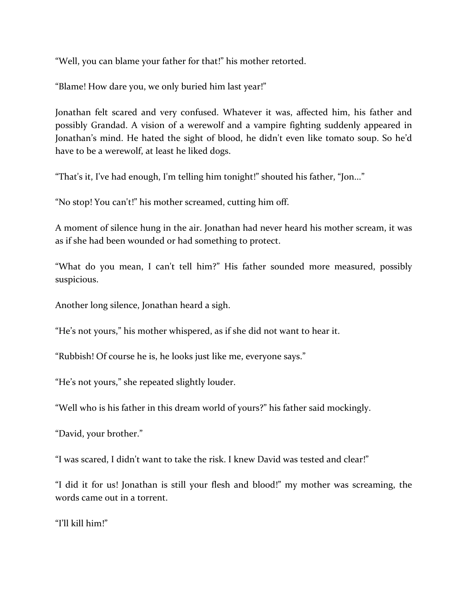"Well, you can blame your father for that!" his mother retorted.

"Blame! How dare you, we only buried him last year!"

Jonathan felt scared and very confused. Whatever it was, affected him, his father and possibly Grandad. A vision of a werewolf and a vampire fighting suddenly appeared in Jonathan's mind. He hated the sight of blood, he didn't even like tomato soup. So he'd have to be a werewolf, at least he liked dogs.

"That's it, I've had enough, I'm telling him tonight!" shouted his father, "Jon..."

"No stop! You can't!" his mother screamed, cutting him off.

A moment of silence hung in the air. Jonathan had never heard his mother scream, it was as if she had been wounded or had something to protect.

"What do you mean, I can't tell him?" His father sounded more measured, possibly suspicious.

Another long silence, Jonathan heard a sigh.

"He's not yours," his mother whispered, as if she did not want to hear it.

"Rubbish! Of course he is, he looks just like me, everyone says."

"He's not yours," she repeated slightly louder.

"Well who is his father in this dream world of yours?" his father said mockingly.

"David, your brother."

"I was scared. I didn't want to take the risk. I knew David was tested and clear!"

"I did it for us! Jonathan is still your flesh and blood!" my mother was screaming, the words came out in a torrent.

"I'll kill him!"